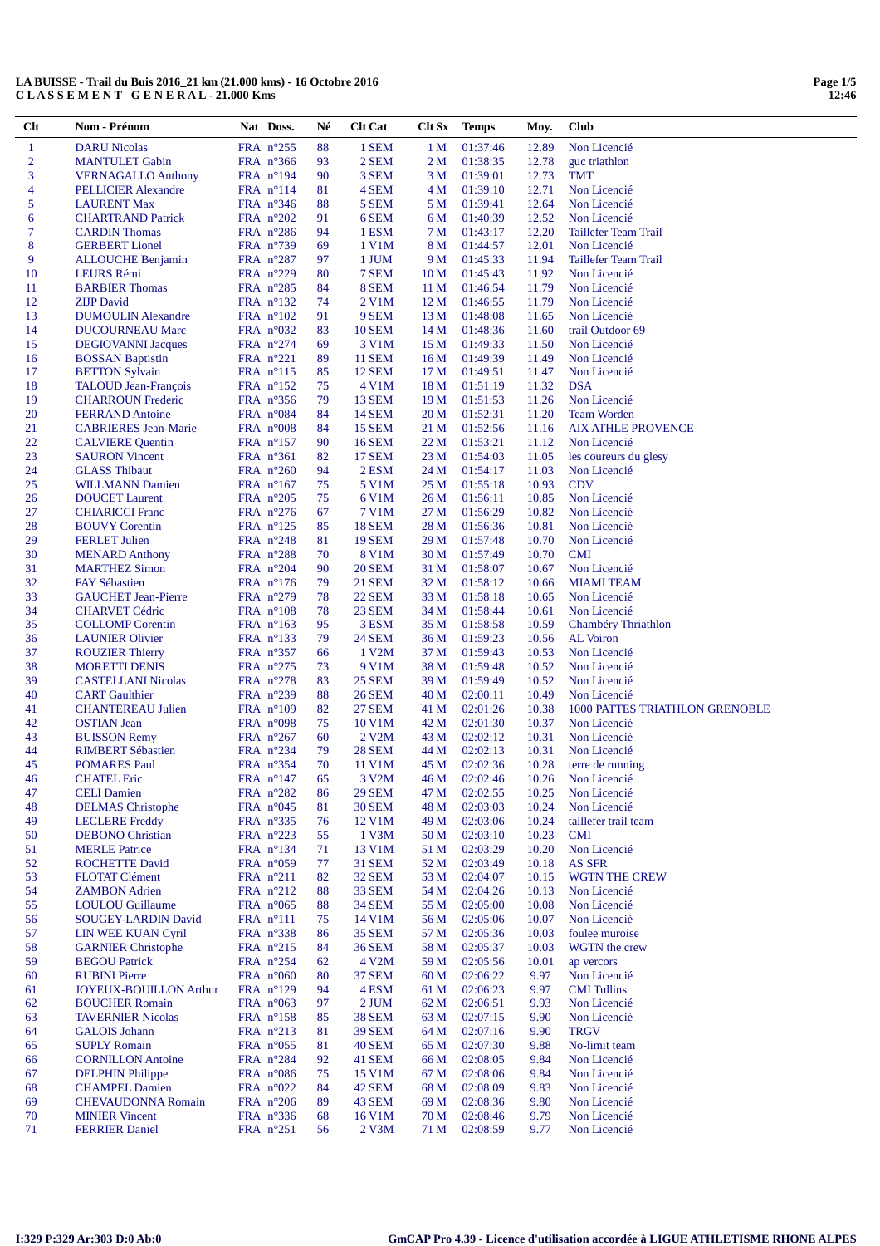| Clt            | Nom - Prénom                  | Nat Doss.                       | Né | <b>Clt Cat</b>       | Clt Sx          | <b>Temps</b> | Moy.  | <b>Club</b>                    |
|----------------|-------------------------------|---------------------------------|----|----------------------|-----------------|--------------|-------|--------------------------------|
| $\mathbf{1}$   | <b>DARU</b> Nicolas           | FRA n°255                       | 88 | 1 SEM                | 1 <sub>M</sub>  | 01:37:46     | 12.89 | Non Licencié                   |
| $\overline{2}$ | <b>MANTULET Gabin</b>         | FRA $n^{\circ}366$              | 93 | 2 SEM                | 2 <sub>M</sub>  | 01:38:35     | 12.78 | guc triathlon                  |
| 3              | <b>VERNAGALLO Anthony</b>     | FRA $n^{\circ}194$              | 90 | 3 SEM                | 3 M             | 01:39:01     | 12.73 | <b>TMT</b>                     |
| 4              | <b>PELLICIER Alexandre</b>    | FRA $n^{\circ}114$              | 81 | 4 SEM                | 4 M             | 01:39:10     | 12.71 | Non Licencié                   |
| 5              | <b>LAURENT Max</b>            | FRA n°346                       | 88 | 5 SEM                | 5 M             | 01:39:41     | 12.64 | Non Licencié                   |
| 6              | <b>CHARTRAND Patrick</b>      | FRA n°202                       | 91 | 6 SEM                | 6 M             | 01:40:39     | 12.52 | Non Licencié                   |
| 7              | <b>CARDIN</b> Thomas          | FRA $n^{\circ}286$              | 94 | 1 ESM                | 7 M             | 01:43:17     | 12.20 | Taillefer Team Trail           |
| 8              |                               |                                 | 69 | 1 V1M                | 8 M             |              |       | Non Licencié                   |
| 9              | <b>GERBERT</b> Lionel         | FRA $n^{\circ}$ 739             |    |                      |                 | 01:44:57     | 12.01 |                                |
|                | <b>ALLOUCHE Benjamin</b>      | FRA $n^{\circ}287$              | 97 | 1 JUM                | 9 M             | 01:45:33     | 11.94 | Taillefer Team Trail           |
| 10             | LEURS Rémi                    | FRA n°229                       | 80 | 7 SEM                | 10 <sub>M</sub> | 01:45:43     | 11.92 | Non Licencié                   |
| 11             | <b>BARBIER Thomas</b>         | FRA $n^{\circ}285$              | 84 | 8 SEM                | 11 M            | 01:46:54     | 11.79 | Non Licencié                   |
| 12             | <b>ZIJP</b> David             | FRA $n^{\circ}132$              | 74 | 2 V1M                | 12 M            | 01:46:55     | 11.79 | Non Licencié                   |
| 13             | <b>DUMOULIN Alexandre</b>     | FRA $n^{\circ}102$              | 91 | 9 SEM                | 13 M            | 01:48:08     | 11.65 | Non Licencié                   |
| 14             | <b>DUCOURNEAU Marc</b>        | FRA $n^{\circ}032$              | 83 | <b>10 SEM</b>        | 14 <sub>M</sub> | 01:48:36     | 11.60 | trail Outdoor 69               |
| 15             | <b>DEGIOVANNI Jacques</b>     | FRA $n^{\circ}274$              | 69 | 3 V1M                | 15 M            | 01:49:33     | 11.50 | Non Licencié                   |
| 16             | <b>BOSSAN Baptistin</b>       | FRA $n^{\circ}221$              | 89 | <b>11 SEM</b>        | 16 <sub>M</sub> | 01:49:39     | 11.49 | Non Licencié                   |
| 17             | <b>BETTON Sylvain</b>         | FRA $n^{\circ}115$              | 85 | <b>12 SEM</b>        | 17 <sub>M</sub> | 01:49:51     | 11.47 | Non Licencié                   |
| 18             | TALOUD Jean-François          | FRA $n^{\circ}152$              | 75 | 4 V1M                | 18 M            | 01:51:19     | 11.32 | <b>DSA</b>                     |
| 19             | <b>CHARROUN Frederic</b>      | FRA $n^{\circ}356$              | 79 | <b>13 SEM</b>        | 19 <sub>M</sub> | 01:51:53     | 11.26 | Non Licencié                   |
| 20             | <b>FERRAND Antoine</b>        | FRA n°084                       | 84 | <b>14 SEM</b>        | 20 <sub>M</sub> | 01:52:31     | 11.20 | <b>Team Worden</b>             |
| 21             | <b>CABRIERES</b> Jean-Marie   | FRA $n^{\circ}008$              | 84 | <b>15 SEM</b>        | 21 M            | 01:52:56     | 11.16 | <b>AIX ATHLE PROVENCE</b>      |
| 22             | <b>CALVIERE Quentin</b>       | FRA $n^{\circ}157$              | 90 | <b>16 SEM</b>        | 22 M            | 01:53:21     | 11.12 | Non Licencié                   |
| 23             | <b>SAURON</b> Vincent         | FRA $n^{\circ}361$              | 82 | <b>17 SEM</b>        | 23 <sub>M</sub> | 01:54:03     | 11.05 | les coureurs du glesy          |
| 24             | <b>GLASS Thibaut</b>          | FRA $n^{\circ}260$              | 94 | 2 ESM                | 24 M            | 01:54:17     | 11.03 | Non Licencié                   |
| 25             | <b>WILLMANN Damien</b>        | FRA $n^{\circ}167$              | 75 | 5 V1M                | 25 M            | 01:55:18     | 10.93 | <b>CDV</b>                     |
| 26             | <b>DOUCET</b> Laurent         | FRA $n^{\circ}205$              | 75 | 6 V1M                | 26 M            | 01:56:11     | 10.85 | Non Licencié                   |
| 27             | <b>CHIARICCI</b> Franc        | FRA $n^{\circ}276$              | 67 | 7 V1M                | 27 M            | 01:56:29     | 10.82 | Non Licencié                   |
| 28             | <b>BOUVY Corentin</b>         | FRA $n^{\circ}125$              | 85 | <b>18 SEM</b>        | 28 M            | 01:56:36     | 10.81 | Non Licencié                   |
| 29             | <b>FERLET Julien</b>          | FRA $n^{\circ}248$              | 81 | <b>19 SEM</b>        | 29 M            | 01:57:48     | 10.70 | Non Licencié                   |
| 30             | <b>MENARD Anthony</b>         | FRA $n^{\circ}288$              | 70 | 8 V1M                | 30 M            | 01:57:49     | 10.70 | <b>CMI</b>                     |
| 31             | <b>MARTHEZ Simon</b>          | FRA $n^{\circ}204$              | 90 | <b>20 SEM</b>        | 31 M            | 01:58:07     | 10.67 | Non Licencié                   |
| 32             | <b>FAY Sébastien</b>          | FRA $n^{\circ}176$              | 79 | <b>21 SEM</b>        | 32 M            | 01:58:12     | 10.66 | <b>MIAMI TEAM</b>              |
| 33             | <b>GAUCHET Jean-Pierre</b>    | FRA $n^{\circ}279$              | 78 | <b>22 SEM</b>        | 33 M            | 01:58:18     | 10.65 | Non Licencié                   |
| 34             | <b>CHARVET Cédric</b>         | FRA $n^{\circ}108$              | 78 | <b>23 SEM</b>        | 34 M            | 01:58:44     | 10.61 | Non Licencié                   |
| 35             | <b>COLLOMP</b> Corentin       | FRA $n^{\circ}163$              | 95 | 3 ESM                | 35 M            | 01:58:58     | 10.59 | Chambéry Thriathlon            |
| 36             | <b>LAUNIER Olivier</b>        | FRA $n^{\circ}133$              | 79 | <b>24 SEM</b>        | 36 M            | 01:59:23     | 10.56 | AL Voiron                      |
| 37             | <b>ROUZIER Thierry</b>        | FRA $n^{\circ}357$              | 66 | 1 V2M                | 37 M            | 01:59:43     | 10.53 | Non Licencié                   |
| 38             | <b>MORETTI DENIS</b>          | FRA $n^{\circ}275$              | 73 | 9 V1M                | 38 M            | 01:59:48     | 10.52 | Non Licencié                   |
| 39             | <b>CASTELLANI Nicolas</b>     | FRA $n^{\circ}278$              | 83 | <b>25 SEM</b>        | 39 M            | 01:59:49     | 10.52 | Non Licencié                   |
| 40             | <b>CART</b> Gaulthier         | FRA $n^{\circ}239$              | 88 | <b>26 SEM</b>        | 40 M            | 02:00:11     | 10.49 | Non Licencié                   |
| 41             | <b>CHANTEREAU Julien</b>      | FRA $n^{\circ}109$              | 82 | <b>27 SEM</b>        | 41 M            | 02:01:26     | 10.38 | 1000 PATTES TRIATHLON GRENOBLE |
| 42             | <b>OSTIAN</b> Jean            | FRA n°098                       | 75 | 10 V1M               | 42 M            | 02:01:30     | 10.37 | Non Licencié                   |
| 43             | <b>BUISSON Remy</b>           | FRA $n^{\circ}267$              | 60 | $2$ V <sub>2</sub> M | 43 M            | 02:02:12     | 10.31 | Non Licencié                   |
| 44             | <b>RIMBERT Sébastien</b>      | FRA n°234                       | 79 | <b>28 SEM</b>        | 44 M            | 02:02:13     | 10.31 | Non Licencié                   |
| 45             | <b>POMARES Paul</b>           | FRA $n^{\circ}354$              | 70 | 11 V1M               | 45 M            | 02:02:36     | 10.28 | terre de running               |
| 46             | <b>CHATEL Eric</b>            | FRA $n^{\circ}147$              | 65 | 3 V <sub>2</sub> M   | 46 M            | 02:02:46     | 10.26 | Non Licencié                   |
| 47             | <b>CELI Damien</b>            | FRA n°282                       | 86 | <b>29 SEM</b>        | 47 M            | 02:02:55     | 10.25 | Non Licencié                   |
| 48             | <b>DELMAS</b> Christophe      | FRA n°045                       | 81 | <b>30 SEM</b>        | 48 M            | 02:03:03     | 10.24 | Non Licencié                   |
| 49             | <b>LECLERE</b> Freddy         | FRA n°335                       | 76 | 12 V1M               | 49 M            | 02:03:06     | 10.24 | taillefer trail team           |
| 50             | <b>DEBONO</b> Christian       | FRA $n^{\circ}223$              | 55 | 1 V3M                | 50 M            | 02:03:10     | 10.23 | <b>CMI</b>                     |
| 51             | <b>MERLE Patrice</b>          | FRA $n^{\circ}134$              | 71 | 13 V1M               | 51 M            | 02:03:29     | 10.20 | Non Licencié                   |
| 52             | <b>ROCHETTE David</b>         | FRA $n^{\circ}059$              | 77 | 31 SEM               | 52 M            | 02:03:49     | 10.18 | <b>AS SFR</b>                  |
| 53             | <b>FLOTAT Clément</b>         | FRA $n^{\circ}211$              | 82 | <b>32 SEM</b>        | 53 M            | 02:04:07     | 10.15 | <b>WGTN THE CREW</b>           |
| 54             | <b>ZAMBON</b> Adrien          | FRA n°212                       | 88 | 33 SEM               | 54 M            | 02:04:26     | 10.13 | Non Licencié                   |
| 55             | <b>LOULOU</b> Guillaume       | FRA $n^{\circ}065$              | 88 | <b>34 SEM</b>        | 55 M            | 02:05:00     | 10.08 | Non Licencié                   |
| 56             | <b>SOUGEY-LARDIN David</b>    | FRA n°111                       | 75 | 14 V1M               | 56 M            | 02:05:06     | 10.07 | Non Licencié                   |
| 57             | <b>LIN WEE KUAN Cyril</b>     | FRA n°338                       | 86 | <b>35 SEM</b>        | 57 M            | 02:05:36     | 10.03 | foulee muroise                 |
| 58             |                               |                                 |    |                      |                 | 02:05:37     | 10.03 | WGTN the crew                  |
|                | <b>GARNIER Christophe</b>     | FRA $n^{\circ}215$<br>FRA n°254 | 84 | <b>36 SEM</b>        | 58 M            |              |       |                                |
| 59             | <b>BEGOU Patrick</b>          |                                 | 62 | 4 V <sub>2</sub> M   | 59 M            | 02:05:56     | 10.01 | ap vercors                     |
| 60             | <b>RUBINI Pierre</b>          | FRA $n^{\circ}060$              | 80 | <b>37 SEM</b>        | 60 <sub>M</sub> | 02:06:22     | 9.97  | Non Licencié                   |
| 61             | <b>JOYEUX-BOUILLON Arthur</b> | FRA $n^{\circ}129$              | 94 | 4 ESM                | 61 M            | 02:06:23     | 9.97  | <b>CMI</b> Tullins             |
| 62             | <b>BOUCHER Romain</b>         | FRA $n^{\circ}063$              | 97 | 2 JUM                | 62 M            | 02:06:51     | 9.93  | Non Licencié                   |
| 63             | <b>TAVERNIER Nicolas</b>      | FRA $n^{\circ}158$              | 85 | <b>38 SEM</b>        | 63 M            | 02:07:15     | 9.90  | Non Licencié                   |
| 64             | <b>GALOIS</b> Johann          | FRA $n^{\circ}213$              | 81 | <b>39 SEM</b>        | 64 M            | 02:07:16     | 9.90  | <b>TRGV</b>                    |
| 65             | <b>SUPLY Romain</b>           | FRA $n^{\circ}055$              | 81 | <b>40 SEM</b>        | 65 M            | 02:07:30     | 9.88  | No-limit team                  |
| 66             | <b>CORNILLON Antoine</b>      | FRA $n^{\circ}284$              | 92 | <b>41 SEM</b>        | 66 M            | 02:08:05     | 9.84  | Non Licencié                   |
| 67             | <b>DELPHIN Philippe</b>       | FRA $n^{\circ}086$              | 75 | 15 V1M               | 67 M            | 02:08:06     | 9.84  | Non Licencié                   |
| 68             | <b>CHAMPEL Damien</b>         | FRA n°022                       | 84 | 42 SEM               | 68 M            | 02:08:09     | 9.83  | Non Licencié                   |
| 69             | <b>CHEVAUDONNA Romain</b>     | FRA $n^{\circ}206$              | 89 | 43 SEM               | 69 M            | 02:08:36     | 9.80  | Non Licencié                   |
| 70             | <b>MINIER Vincent</b>         | FRA $n^{\circ}336$              | 68 | 16 V1M               | 70 M            | 02:08:46     | 9.79  | Non Licencié                   |
| 71             | <b>FERRIER Daniel</b>         | FRA n°251                       | 56 | 2 V3M                | 71 M            | 02:08:59     | 9.77  | Non Licencié                   |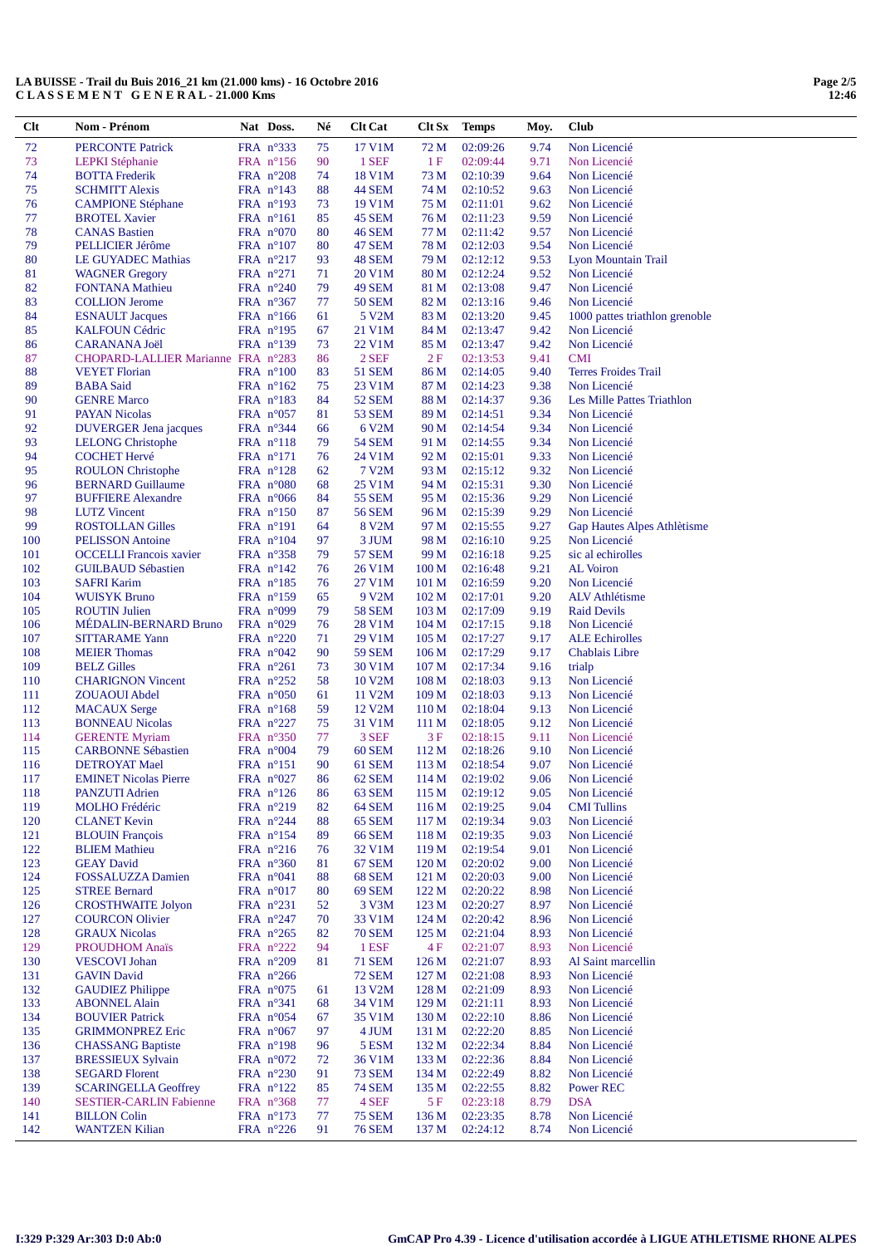| $Cl$ t     | Nom - Prénom                                      | Nat Doss.                                | Né       | <b>Clt Cat</b>                | Clt Sx                    | <b>Temps</b>         | Moy.         | <b>Club</b>                               |
|------------|---------------------------------------------------|------------------------------------------|----------|-------------------------------|---------------------------|----------------------|--------------|-------------------------------------------|
| 72         | <b>PERCONTE Patrick</b>                           | FRA n°333                                | 75       | 17 V1M                        | 72 M                      | 02:09:26             | 9.74         | Non Licencié                              |
| 73         | <b>LEPKI</b> Stéphanie                            | FRA n°156                                | 90       | 1 SEF                         | 1 F                       | 02:09:44             | 9.71         | Non Licencié                              |
| 74         | <b>BOTTA</b> Frederik                             | FRA n°208                                | 74       | 18 V1M                        | 73 M                      | 02:10:39             | 9.64         | Non Licencié                              |
| 75         | <b>SCHMITT Alexis</b>                             | FRA $n^{\circ}143$                       | 88       | <b>44 SEM</b>                 | 74 M                      | 02:10:52             | 9.63         | Non Licencié                              |
| 76         | <b>CAMPIONE Stéphane</b>                          | FRA n°193                                | 73       | 19 V1M                        | 75 M                      | 02:11:01             | 9.62         | Non Licencié                              |
| 77         | <b>BROTEL Xavier</b>                              | FRA n°161                                | 85       | 45 SEM                        | 76 M                      | 02:11:23             | 9.59         | Non Licencié                              |
| 78         | <b>CANAS Bastien</b>                              | FRA n°070                                | 80       | <b>46 SEM</b>                 | 77 M                      | 02:11:42             | 9.57         | Non Licencié                              |
| 79         | PELLICIER Jérôme                                  | FRA $n^{\circ}107$                       | 80       | 47 SEM                        | 78 M                      | 02:12:03             | 9.54         | Non Licencié                              |
| 80         | <b>LE GUYADEC Mathias</b>                         | FRA $n^{\circ}217$                       | 93       | 48 SEM                        | 79 M                      | 02:12:12             | 9.53         | <b>Lyon Mountain Trail</b>                |
| 81         | <b>WAGNER Gregory</b>                             | FRA n°271                                | 71       | 20 V1M                        | 80 M                      | 02:12:24             | 9.52         | Non Licencié                              |
| 82         | <b>FONTANA</b> Mathieu                            | FRA $n^{\circ}240$                       | 79       | <b>49 SEM</b>                 | 81 M                      | 02:13:08             | 9.47         | Non Licencié                              |
| 83         | <b>COLLION Jerome</b>                             | FRA $n^{\circ}367$                       | 77       | <b>50 SEM</b>                 | 82 M                      | 02:13:16             | 9.46         | Non Licencié                              |
| 84         | <b>ESNAULT</b> Jacques                            | FRA $n^{\circ}166$                       | 61       | 5 V <sub>2</sub> M            | 83 M                      | 02:13:20             | 9.45         | 1000 pattes triathlon grenoble            |
| 85         | <b>KALFOUN Cédric</b>                             | FRA $n^{\circ}195$                       | 67       | 21 V1M                        | 84 M                      | 02:13:47             | 9.42         | Non Licencié                              |
| 86         | <b>CARANANA Joël</b>                              | FRA $n^{\circ}139$                       | 73       | 22 V1M                        | 85 M                      | 02:13:47             | 9.42         | Non Licencié                              |
| 87<br>88   | CHOPARD-LALLIER Marianne FRA n°283                |                                          | 86       | 2 SEF<br><b>51 SEM</b>        | 2F                        | 02:13:53             | 9.41         | <b>CMI</b><br><b>Terres Froides Trail</b> |
| 89         | <b>VEYET Florian</b><br><b>BABA</b> Said          | FRA $n^{\circ}100$<br>FRA $n^{\circ}162$ | 83<br>75 | 23 V1M                        | 86 M<br>87 M              | 02:14:05<br>02:14:23 | 9.40<br>9.38 | Non Licencié                              |
| 90         | <b>GENRE Marco</b>                                | FRA $n^{\circ}183$                       | 84       | 52 SEM                        | 88 M                      | 02:14:37             | 9.36         | Les Mille Pattes Triathlon                |
| 91         | <b>PAYAN Nicolas</b>                              | FRA $n^{\circ}057$                       | 81       | 53 SEM                        | 89 M                      | 02:14:51             | 9.34         | Non Licencié                              |
| 92         | <b>DUVERGER</b> Jena jacques                      | FRA $n^{\circ}344$                       | 66       | 6 V <sub>2</sub> M            | 90 M                      | 02:14:54             | 9.34         | Non Licencié                              |
| 93         | <b>LELONG Christophe</b>                          | $FRA$ n°118                              | 79       | <b>54 SEM</b>                 | 91 M                      | 02:14:55             | 9.34         | Non Licencié                              |
| 94         | <b>COCHET Hervé</b>                               | $FRA$ n°171                              | 76       | 24 V1M                        | 92 M                      | 02:15:01             | 9.33         | Non Licencié                              |
| 95         | <b>ROULON</b> Christophe                          | FRA $n^{\circ}128$                       | 62       | 7 V2M                         | 93 M                      | 02:15:12             | 9.32         | Non Licencié                              |
| 96         | <b>BERNARD Guillaume</b>                          | FRA $n^{\circ}080$                       | 68       | 25 V1M                        | 94 M                      | 02:15:31             | 9.30         | Non Licencié                              |
| 97         | <b>BUFFIERE Alexandre</b>                         | FRA n°066                                | 84       | 55 SEM                        | 95 M                      | 02:15:36             | 9.29         | Non Licencié                              |
| 98         | <b>LUTZ</b> Vincent                               | FRA $n^{\circ}150$                       | 87       | 56 SEM                        | 96 M                      | 02:15:39             | 9.29         | Non Licencié                              |
| 99         | <b>ROSTOLLAN Gilles</b>                           | FRA $n^{\circ}191$                       | 64       | 8 V <sub>2</sub> M            | 97 M                      | 02:15:55             | 9.27         | Gap Hautes Alpes Athlètisme               |
| 100        | <b>PELISSON</b> Antoine                           | FRA $n^{\circ}104$                       | 97       | 3 JUM                         | 98 M                      | 02:16:10             | 9.25         | Non Licencié                              |
| 101        | <b>OCCELLI</b> Francois xavier                    | FRA $n^{\circ}358$                       | 79       | <b>57 SEM</b>                 | 99 M                      | 02:16:18             | 9.25         | sic al echirolles                         |
| 102        | <b>GUILBAUD Sébastien</b>                         | FRA $n^{\circ}142$                       | 76       | 26 V1M                        | 100 M                     | 02:16:48             | 9.21         | <b>AL</b> Voiron                          |
| 103        | <b>SAFRI Karim</b>                                | FRA $n^{\circ}185$                       | 76       | 27 V1M                        | 101 <sub>M</sub>          | 02:16:59             | 9.20         | Non Licencié                              |
| 104        | <b>WUISYK Bruno</b>                               | FRA $n^{\circ}159$                       | 65       | 9 V <sub>2</sub> M            | 102 M                     | 02:17:01             | 9.20         | <b>ALV</b> Athlétisme                     |
| 105        | <b>ROUTIN Julien</b>                              | FRA $n°099$                              | 79       | <b>58 SEM</b>                 | 103 <sub>M</sub>          | 02:17:09             | 9.19         | <b>Raid Devils</b>                        |
| 106        | MÉDALIN-BERNARD Bruno                             | FRA $n^{\circ}029$                       | 76       | 28 V1M                        | 104 <sub>M</sub>          | 02:17:15             | 9.18         | Non Licencié                              |
| 107        | <b>SITTARAME Yann</b>                             | FRA $n^{\circ}220$                       | 71       | 29 V1M                        | 105 <sub>M</sub>          | 02:17:27             | 9.17         | <b>ALE Echirolles</b>                     |
| 108        | <b>MEIER</b> Thomas                               | FRA $n^{\circ}042$                       | 90       | <b>59 SEM</b>                 | 106 <sub>M</sub>          | 02:17:29             | 9.17         | <b>Chablais Libre</b>                     |
| 109        | <b>BELZ Gilles</b>                                | FRA $n^{\circ}261$                       | 73       | 30 V1M                        | 107 <sub>M</sub>          | 02:17:34             | 9.16         | trialp                                    |
| 110        | <b>CHARIGNON Vincent</b>                          | FRA $n^{\circ}252$                       | 58       | 10 V2M                        | 108 <sub>M</sub>          | 02:18:03             | 9.13         | Non Licencié                              |
| 111        | ZOUAOUI Abdel                                     | FRA $n^{\circ}050$                       | 61       | 11 V2M                        | 109 <sub>M</sub>          | 02:18:03             | 9.13         | Non Licencié<br>Non Licencié              |
| 112<br>113 | <b>MACAUX</b> Serge<br><b>BONNEAU Nicolas</b>     | FRA $n^{\circ}168$<br>FRA $n^{\circ}227$ | 59<br>75 | 12 V <sub>2</sub> M<br>31 V1M | 110 <sub>M</sub><br>111 M | 02:18:04<br>02:18:05 | 9.13<br>9.12 | Non Licencié                              |
| 114        | <b>GERENTE Myriam</b>                             | FRA $n^{\circ}350$                       | 77       | 3 SEF                         | 3F                        | 02:18:15             | 9.11         | Non Licencié                              |
| 115        | <b>CARBONNE Sébastien</b>                         | FRA $n^{\circ}004$                       | 79       | <b>60 SEM</b>                 | 112M                      | 02:18:26             | 9.10         | Non Licencié                              |
| 116        | <b>DETROYAT Mael</b>                              | FRA n°151                                | 90       | 61 SEM                        | 113 M                     | 02:18:54             | 9.07         | Non Licencié                              |
| 117        | <b>EMINET Nicolas Pierre</b>                      | FRA $n^{\circ}027$                       | 86       | 62 SEM                        | 114M                      | 02:19:02             | 9.06         | Non Licencié                              |
| 118        | <b>PANZUTI Adrien</b>                             | FRA $n^{\circ}126$                       | 86       | 63 SEM                        | 115 M                     | 02:19:12             | 9.05         | Non Licencié                              |
| 119        | <b>MOLHO</b> Frédéric                             | FRA n°219                                | 82       | 64 SEM                        | 116 M                     | 02:19:25             | 9.04         | <b>CMI</b> Tullins                        |
| 120        | <b>CLANET Kevin</b>                               | FRA n°244                                | 88       | 65 SEM                        | 117 M                     | 02:19:34             | 9.03         | Non Licencié                              |
| 121        | <b>BLOUIN</b> François                            | FRA $n^{\circ}154$                       | 89       | <b>66 SEM</b>                 | 118M                      | 02:19:35             | 9.03         | Non Licencié                              |
| 122        | <b>BLIEM Mathieu</b>                              | FRA $n^{\circ}216$                       | 76       | 32 V1M                        | 119 <sub>M</sub>          | 02:19:54             | 9.01         | Non Licencié                              |
| 123        | <b>GEAY David</b>                                 | FRA $n^{\circ}360$                       | 81       | 67 SEM                        | 120 M                     | 02:20:02             | 9.00         | Non Licencié                              |
| 124        | <b>FOSSALUZZA Damien</b>                          | FRA $n^{\circ}041$                       | 88       | <b>68 SEM</b>                 | 121 M                     | 02:20:03             | 9.00         | Non Licencié                              |
| 125        | <b>STREE Bernard</b>                              | FRA $n^{\circ}017$                       | 80       | <b>69 SEM</b>                 | 122M                      | 02:20:22             | 8.98         | Non Licencié                              |
| 126        | <b>CROSTHWAITE Jolyon</b>                         | FRA $n^{\circ}231$                       | 52       | 3 V3M                         | 123 M                     | 02:20:27             | 8.97         | Non Licencié                              |
| 127        | <b>COURCON Olivier</b>                            | FRA n°247                                | 70       | 33 V1M                        | 124 M                     | 02:20:42             | 8.96         | Non Licencié                              |
| 128        | <b>GRAUX Nicolas</b>                              | FRA n°265                                | 82       | <b>70 SEM</b>                 | 125 <sub>M</sub>          | 02:21:04             | 8.93         | Non Licencié                              |
| 129        | <b>PROUDHOM Anaïs</b>                             | FRA $n^{\circ}222$                       | 94       | 1 ESF                         | 4 F                       | 02:21:07             | 8.93         | Non Licencié                              |
| 130        | <b>VESCOVI</b> Johan                              | FRA n°209                                | 81       | <b>71 SEM</b>                 | 126 M                     | 02:21:07             | 8.93         | Al Saint marcellin                        |
| 131        | <b>GAVIN David</b>                                | FRA $n^{\circ}266$                       |          | <b>72 SEM</b>                 | 127 M                     | 02:21:08             | 8.93         | Non Licencié                              |
| 132        | <b>GAUDIEZ Philippe</b>                           | FRA n°075                                | 61       | 13 V <sub>2</sub> M           | 128 M                     | 02:21:09             | 8.93         | Non Licencié                              |
| 133        | <b>ABONNEL Alain</b>                              | FRA n°341                                | 68       | 34 V1M                        | 129 M                     | 02:21:11             | 8.93         | Non Licencié                              |
| 134<br>135 | <b>BOUVIER Patrick</b><br><b>GRIMMONPREZ Eric</b> | FRA $n^{\circ}054$<br>FRA $n^{\circ}067$ | 67<br>97 | 35 V1M<br>4 JUM               | 130 M<br>131 M            | 02:22:10<br>02:22:20 | 8.86<br>8.85 | Non Licencié<br>Non Licencié              |
| 136        | <b>CHASSANG Baptiste</b>                          | FRA n°198                                | 96       | 5 ESM                         | 132 M                     | 02:22:34             | 8.84         | Non Licencié                              |
| 137        | <b>BRESSIEUX Sylvain</b>                          | FRA $n^{\circ}072$                       | 72       | 36 V1M                        | 133 M                     | 02:22:36             | 8.84         | Non Licencié                              |
| 138        | <b>SEGARD Florent</b>                             | FRA n°230                                | 91       | <b>73 SEM</b>                 | 134 M                     | 02:22:49             | 8.82         | Non Licencié                              |
| 139        | <b>SCARINGELLA Geoffrey</b>                       | FRA $n^{\circ}122$                       | 85       | <b>74 SEM</b>                 | 135 M                     | 02:22:55             | 8.82         | <b>Power REC</b>                          |
| 140        | <b>SESTIER-CARLIN Fabienne</b>                    | FRA n°368                                | 77       | 4 SEF                         | 5F                        | 02:23:18             | 8.79         | <b>DSA</b>                                |
| 141        | <b>BILLON Colin</b>                               | FRA $n^{\circ}173$                       | 77       | <b>75 SEM</b>                 | 136 M                     | 02:23:35             | 8.78         | Non Licencié                              |
| 142        | <b>WANTZEN Kilian</b>                             | FRA $n^{\circ}226$                       | 91       | <b>76 SEM</b>                 | 137 M                     | 02:24:12             | 8.74         | Non Licencié                              |
|            |                                                   |                                          |          |                               |                           |                      |              |                                           |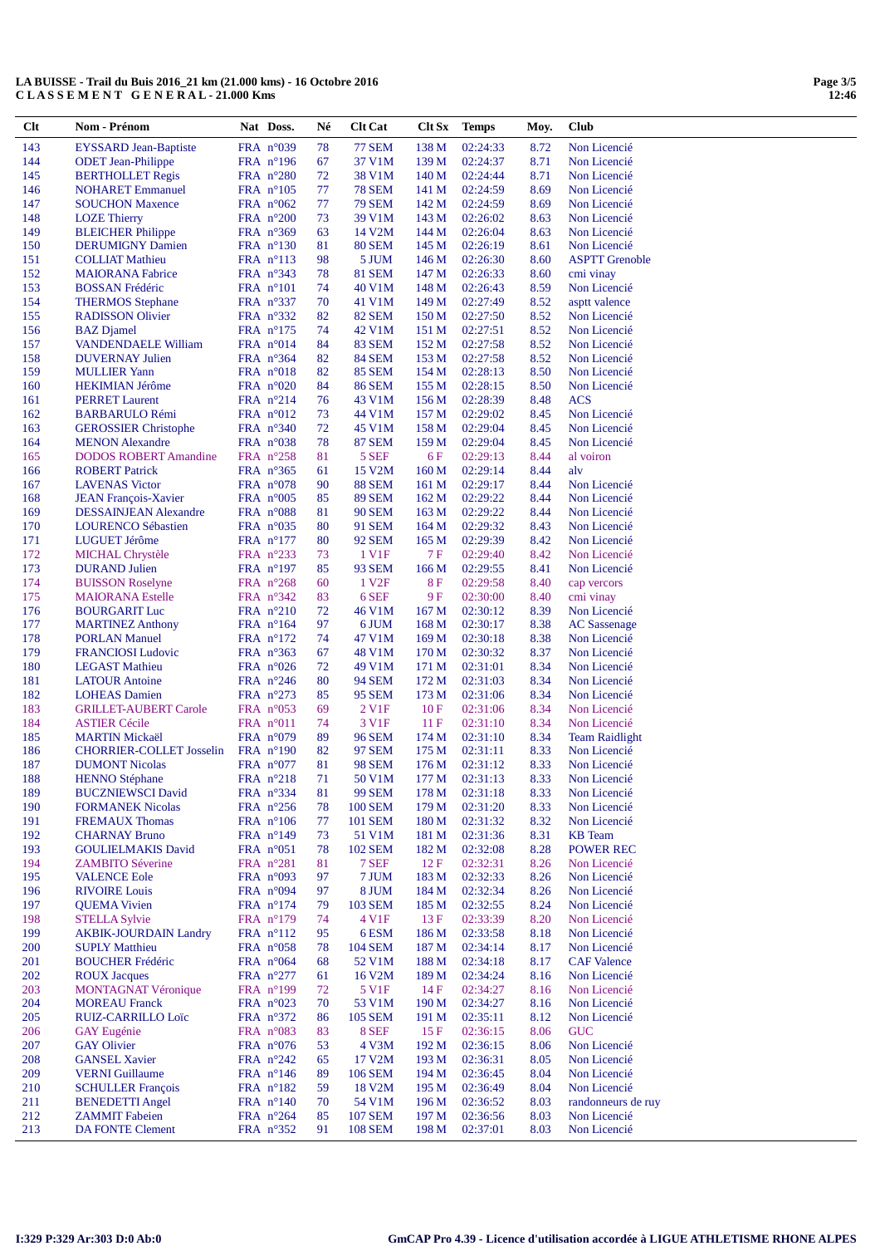| $Cl$ t     | Nom - Prénom                                     | Nat Doss.                                | Né       | <b>Clt Cat</b>                   | Clt Sx                    | <b>Temps</b>         | Moy.         | Club                                |
|------------|--------------------------------------------------|------------------------------------------|----------|----------------------------------|---------------------------|----------------------|--------------|-------------------------------------|
| 143        | <b>EYSSARD Jean-Baptiste</b>                     | FRA n°039                                | 78       | <b>77 SEM</b>                    | 138 M                     | 02:24:33             | 8.72         | Non Licencié                        |
| 144        | <b>ODET</b> Jean-Philippe                        | FRA $n^{\circ}196$                       | 67       | 37 V1M                           | 139 M                     | 02:24:37             | 8.71         | Non Licencié                        |
| 145        | <b>BERTHOLLET Regis</b>                          | FRA $n^{\circ}280$                       | 72       | 38 V1M                           | 140 M                     | 02:24:44             | 8.71         | Non Licencié                        |
| 146        | <b>NOHARET</b> Emmanuel                          | FRA $n^{\circ}105$                       | 77       | <b>78 SEM</b>                    | 141 M                     | 02:24:59             | 8.69         | Non Licencié                        |
| 147        | <b>SOUCHON Maxence</b>                           | FRA $n^{\circ}062$                       | 77       | <b>79 SEM</b>                    | 142 M                     | 02:24:59             | 8.69         | Non Licencié                        |
| 148        | <b>LOZE</b> Thierry                              | FRA $n^{\circ}200$                       | 73       | 39 V1M                           | 143 M                     | 02:26:02             | 8.63         | Non Licencié                        |
| 149        | <b>BLEICHER Philippe</b>                         | FRA $n^{\circ}369$                       | 63       | 14 V2M                           | 144 M                     | 02:26:04             | 8.63         | Non Licencié                        |
| 150        | <b>DERUMIGNY Damien</b>                          | FRA $n^{\circ}130$                       | 81       | <b>80 SEM</b>                    | 145 M                     | 02:26:19             | 8.61         | Non Licencié                        |
| 151        | <b>COLLIAT Mathieu</b>                           | $FRA$ n°113                              | 98       | 5 JUM                            | 146 M                     | 02:26:30             | 8.60         | <b>ASPTT Grenoble</b>               |
| 152        | <b>MAIORANA</b> Fabrice                          | FRA n°343                                | 78       | <b>81 SEM</b>                    | 147 M                     | 02:26:33             | 8.60         | cmi vinay                           |
| 153        | <b>BOSSAN Frédéric</b>                           | $FRA$ $n^{\circ}101$                     | 74       | 40 V1M                           | 148 M                     | 02:26:43             | 8.59         | Non Licencié                        |
| 154        | <b>THERMOS</b> Stephane                          | FRA $n^{\circ}337$                       | 70       | 41 V1M                           | 149 M                     | 02:27:49             | 8.52         | asptt valence                       |
| 155        | <b>RADISSON Olivier</b>                          | FRA $n^{\circ}332$                       | 82       | <b>82 SEM</b>                    | 150 M                     | 02:27:50             | 8.52         | Non Licencié                        |
| 156        | <b>BAZ</b> Djamel                                | FRA n°175                                | 74       | 42 V1M                           | 151 M                     | 02:27:51             | 8.52         | Non Licencié                        |
| 157<br>158 | <b>VANDENDAELE William</b>                       | FRA $n^{\circ}014$<br>FRA $n^{\circ}364$ | 84<br>82 | <b>83 SEM</b><br><b>84 SEM</b>   | 152 M<br>153 M            | 02:27:58<br>02:27:58 | 8.52<br>8.52 | Non Licencié<br>Non Licencié        |
| 159        | <b>DUVERNAY Julien</b><br><b>MULLIER Yann</b>    | FRA $n^{\circ}018$                       | 82       | <b>85 SEM</b>                    | 154 M                     | 02:28:13             | 8.50         | Non Licencié                        |
| 160        | <b>HEKIMIAN Jérôme</b>                           | FRA $n^{\circ}020$                       | 84       | <b>86 SEM</b>                    | 155 M                     | 02:28:15             | 8.50         | Non Licencié                        |
| 161        | <b>PERRET Laurent</b>                            | FRA $n^{\circ}214$                       | 76       | 43 V1M                           | 156 M                     | 02:28:39             | 8.48         | <b>ACS</b>                          |
| 162        | <b>BARBARULO Rémi</b>                            | FRA n°012                                | 73       | 44 V1M                           | 157 M                     | 02:29:02             | 8.45         | Non Licencié                        |
| 163        | <b>GEROSSIER Christophe</b>                      | FRA $n^{\circ}340$                       | 72       | 45 V1M                           | 158 M                     | 02:29:04             | 8.45         | Non Licencié                        |
| 164        | <b>MENON</b> Alexandre                           | FRA $n^{\circ}038$                       | 78       | <b>87 SEM</b>                    | 159 M                     | 02:29:04             | 8.45         | Non Licencié                        |
| 165        | <b>DODOS ROBERT Amandine</b>                     | FRA $n^{\circ}258$                       | 81       | 5 SEF                            | 6 F                       | 02:29:13             | 8.44         | al voiron                           |
| 166        | <b>ROBERT Patrick</b>                            | FRA $n^{\circ}365$                       | 61       | 15 V2M                           | 160 <sub>M</sub>          | 02:29:14             | 8.44         | alv                                 |
| 167        | <b>LAVENAS Victor</b>                            | FRA $n^{\circ}078$                       | 90       | <b>88 SEM</b>                    | 161 M                     | 02:29:17             | 8.44         | Non Licencié                        |
| 168        | <b>JEAN François-Xavier</b>                      | FRA $n^{\circ}005$                       | 85       | <b>89 SEM</b>                    | 162 M                     | 02:29:22             | 8.44         | Non Licencié                        |
| 169        | <b>DESSAINJEAN Alexandre</b>                     | FRA $n^{\circ}088$                       | 81       | <b>90 SEM</b>                    | 163 M                     | 02:29:22             | 8.44         | Non Licencié                        |
| 170        | <b>LOURENCO Sébastien</b>                        | FRA $n^{\circ}035$                       | 80       | 91 SEM                           | 164 M                     | 02:29:32             | 8.43         | Non Licencié                        |
| 171        | LUGUET Jérôme                                    | FRA n°177                                | 80       | <b>92 SEM</b>                    | 165 M                     | 02:29:39             | 8.42         | Non Licencié                        |
| 172        | <b>MICHAL Chrystèle</b>                          | FRA $n^{\circ}233$                       | 73       | 1 V <sub>1</sub> F               | 7 F                       | 02:29:40             | 8.42         | Non Licencié                        |
| 173        | <b>DURAND Julien</b>                             | $FRA$ n°197                              | 85       | 93 SEM                           | 166 M                     | 02:29:55             | 8.41         | Non Licencié                        |
| 174        | <b>BUISSON Roselyne</b>                          | FRA $n^{\circ}268$                       | 60       | 1 V <sub>2F</sub>                | 8F                        | 02:29:58             | 8.40         | cap vercors                         |
| 175        | <b>MAIORANA</b> Estelle                          | $FRA$ n°342                              | 83       | 6 SEF                            | 9 F                       | 02:30:00             | 8.40         | cmi vinay                           |
| 176<br>177 | <b>BOURGARIT Luc</b><br><b>MARTINEZ Anthony</b>  | $FRA$ n°210<br>$FRA$ n°164               | 72<br>97 | 46 V1M<br>6 JUM                  | 167 <sub>M</sub><br>168 M | 02:30:12<br>02:30:17 | 8.39<br>8.38 | Non Licencié<br><b>AC</b> Sassenage |
| 178        | <b>PORLAN Manuel</b>                             | $FRA$ n°172                              | 74       | 47 V1M                           | 169 M                     | 02:30:18             | 8.38         | Non Licencié                        |
| 179        | <b>FRANCIOSI</b> Ludovic                         | FRA $n^{\circ}363$                       | 67       | 48 V1M                           | 170 M                     | 02:30:32             | 8.37         | Non Licencié                        |
| 180        | <b>LEGAST Mathieu</b>                            | FRA $n^{\circ}026$                       | 72       | 49 V1M                           | 171 M                     | 02:31:01             | 8.34         | Non Licencié                        |
| 181        | <b>LATOUR Antoine</b>                            | FRA $n^{\circ}246$                       | 80       | 94 SEM                           | 172 M                     | 02:31:03             | 8.34         | Non Licencié                        |
| 182        | <b>LOHEAS</b> Damien                             | FRA $n^{\circ}273$                       | 85       | 95 SEM                           | 173 M                     | 02:31:06             | 8.34         | Non Licencié                        |
| 183        | <b>GRILLET-AUBERT Carole</b>                     | FRA $n^{\circ}053$                       | 69       | 2 V <sub>1</sub> F               | 10F                       | 02:31:06             | 8.34         | Non Licencié                        |
| 184        | <b>ASTIER Cécile</b>                             | $FRA$ n°011                              | 74       | 3 V1F                            | 11F                       | 02:31:10             | 8.34         | Non Licencié                        |
| 185        | <b>MARTIN Mickaël</b>                            | FRA $n^{\circ}079$                       | 89       | 96 SEM                           | 174 M                     | 02:31:10             | 8.34         | <b>Team Raidlight</b>               |
| 186        | <b>CHORRIER-COLLET Josselin</b>                  | FRA $n^{\circ}190$                       | 82       | 97 SEM                           | 175 M                     | 02:31:11             | 8.33         | Non Licencié                        |
| 187        | <b>DUMONT Nicolas</b>                            | FRA $n^{\circ}077$                       | 81       | <b>98 SEM</b>                    | 176 M                     | 02:31:12             | 8.33         | Non Licencié                        |
| 188        | <b>HENNO</b> Stéphane                            | FRA $n^{\circ}218$                       | 71       | 50 V1M                           | 177 M                     | 02:31:13             | 8.33         | Non Licencié                        |
| 189        | <b>BUCZNIEWSCI David</b>                         | FRA n°334                                | 81       | <b>99 SEM</b>                    | 178 M                     | 02:31:18<br>02:31:20 | 8.33         | Non Licencié<br>Non Licencié        |
| 190<br>191 | <b>FORMANEK Nicolas</b><br><b>FREMAUX Thomas</b> | FRA n°256<br>FRA n°106                   | 78<br>77 | <b>100 SEM</b><br><b>101 SEM</b> | 179 M<br>180 M            | 02:31:32             | 8.33<br>8.32 | Non Licencié                        |
| 192        | <b>CHARNAY Bruno</b>                             | FRA $n^{\circ}149$                       | 73       | 51 V1M                           | 181 M                     | 02:31:36             | 8.31         | <b>KB</b> Team                      |
| 193        | <b>GOULIELMAKIS David</b>                        | FRA n°051                                | 78       | <b>102 SEM</b>                   | 182 M                     | 02:32:08             | 8.28         | <b>POWER REC</b>                    |
| 194        | <b>ZAMBITO Séverine</b>                          | FRA $n^{\circ}281$                       | 81       | 7 SEF                            | 12F                       | 02:32:31             | 8.26         | Non Licencié                        |
| 195        | <b>VALENCE Eole</b>                              | FRA $n^{\circ}093$                       | 97       | 7 JUM                            | 183 M                     | 02:32:33             | 8.26         | Non Licencié                        |
| 196        | <b>RIVOIRE Louis</b>                             | FRA n°094                                | 97       | 8 JUM                            | 184 M                     | 02:32:34             | 8.26         | Non Licencié                        |
| 197        | <b>QUEMA</b> Vivien                              | $FRA$ n°174                              | 79       | 103 SEM                          | 185 M                     | 02:32:55             | 8.24         | Non Licencié                        |
| 198        | <b>STELLA Sylvie</b>                             | $FRA$ n°179                              | 74       | 4 V1F                            | 13F                       | 02:33:39             | 8.20         | Non Licencié                        |
| 199        | <b>AKBIK-JOURDAIN Landry</b>                     | $FRA$ n°112                              | 95       | 6 ESM                            | 186 M                     | 02:33:58             | 8.18         | Non Licencié                        |
| 200        | <b>SUPLY Matthieu</b>                            | FRA $n^{\circ}058$                       | 78       | 104 SEM                          | 187 M                     | 02:34:14             | 8.17         | Non Licencié                        |
| 201        | <b>BOUCHER Frédéric</b>                          | FRA $n^{\circ}064$                       | 68       | 52 V1M                           | 188 M                     | 02:34:18             | 8.17         | <b>CAF Valence</b>                  |
| 202        | <b>ROUX Jacques</b>                              | FRA n°277                                | 61       | 16 V2M                           | 189 M                     | 02:34:24             | 8.16         | Non Licencié                        |
| 203        | <b>MONTAGNAT Véronique</b>                       | FRA n°199                                | 72       | 5 V1F                            | 14F                       | 02:34:27             | 8.16         | Non Licencié                        |
| 204        | <b>MOREAU Franck</b>                             | FRA $n^{\circ}023$                       | 70       | 53 V1M                           | 190 M                     | 02:34:27             | 8.16         | Non Licencié                        |
| 205<br>206 | <b>RUIZ-CARRILLO Loïc</b>                        | FRA $n^{\circ}372$<br>FRA $n^{\circ}083$ | 86<br>83 | <b>105 SEM</b><br>8 SEF          | 191 M<br>15F              | 02:35:11<br>02:36:15 | 8.12<br>8.06 | Non Licencié<br><b>GUC</b>          |
| 207        | <b>GAY</b> Eugénie<br><b>GAY Olivier</b>         | FRA n°076                                | 53       | 4 V3M                            | 192 M                     | 02:36:15             | 8.06         | Non Licencié                        |
| 208        | <b>GANSEL Xavier</b>                             | FRA $n^{\circ}242$                       | 65       | 17 V2M                           | 193 M                     | 02:36:31             | 8.05         | Non Licencié                        |
| 209        | <b>VERNI</b> Guillaume                           | FRA $n^{\circ}146$                       | 89       | 106 SEM                          | 194 M                     | 02:36:45             | 8.04         | Non Licencié                        |
| 210        | <b>SCHULLER François</b>                         | FRA $n^{\circ}182$                       | 59       | 18 V <sub>2</sub> M              | 195 M                     | 02:36:49             | 8.04         | Non Licencié                        |
| 211        | <b>BENEDETTI Angel</b>                           | FRA $n^{\circ}140$                       | 70       | 54 V1M                           | 196 M                     | 02:36:52             | 8.03         | randonneurs de ruy                  |
| 212        | <b>ZAMMIT Fabeien</b>                            | FRA $n^{\circ}264$                       | 85       | <b>107 SEM</b>                   | 197 M                     | 02:36:56             | 8.03         | Non Licencié                        |
| 213        | <b>DA FONTE Clement</b>                          | FRA n°352                                | 91       | <b>108 SEM</b>                   | 198 M                     | 02:37:01             | 8.03         | Non Licencié                        |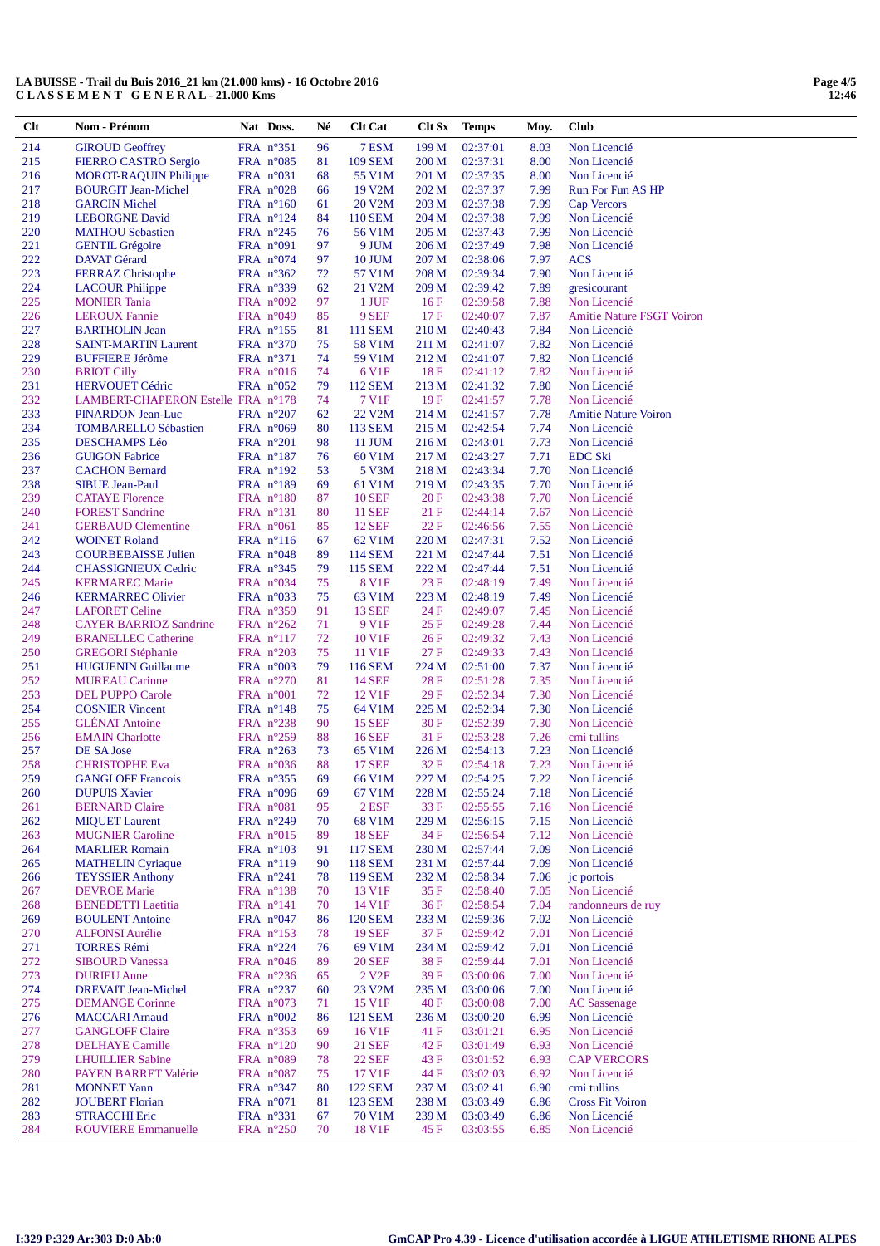| $Cl$ t     | Nom - Prénom                                          | Nat Doss.                                | Né       | <b>Clt Cat</b>                  |                | <b>Clt Sx</b> Temps  | Moy.         | Club                               |
|------------|-------------------------------------------------------|------------------------------------------|----------|---------------------------------|----------------|----------------------|--------------|------------------------------------|
| 214        | <b>GIROUD Geoffrey</b>                                | FRA $n^{\circ}351$                       | 96       | 7 ESM                           | 199 M          | 02:37:01             | 8.03         | Non Licencié                       |
| 215        | FIERRO CASTRO Sergio                                  | FRA $n^{\circ}085$                       | 81       | <b>109 SEM</b>                  | 200 M          | 02:37:31             | 8.00         | Non Licencié                       |
| 216        | <b>MOROT-RAQUIN Philippe</b>                          | FRA $n^{\circ}031$                       | 68       | 55 V1M                          | 201 M          | 02:37:35             | 8.00         | Non Licencié                       |
| 217        | <b>BOURGIT Jean-Michel</b>                            | FRA $n^{\circ}028$                       | 66       | 19 V2M                          | 202 M          | 02:37:37             | 7.99         | Run For Fun AS HP                  |
| 218        | <b>GARCIN Michel</b>                                  | FRA $n^{\circ}160$                       | 61       | 20 V2M                          | 203 M          | 02:37:38             | 7.99         | Cap Vercors                        |
| 219<br>220 | <b>LEBORGNE David</b><br><b>MATHOU</b> Sebastien      | FRA $n^{\circ}124$<br>FRA $n^{\circ}245$ | 84<br>76 | 110 SEM<br>56 V1M               | 204 M<br>205 M | 02:37:38<br>02:37:43 | 7.99<br>7.99 | Non Licencié<br>Non Licencié       |
| 221        | <b>GENTIL Grégoire</b>                                | FRA $n°091$                              | 97       | 9 JUM                           | 206 M          | 02:37:49             | 7.98         | Non Licencié                       |
| 222        | <b>DAVAT</b> Gérard                                   | FRA $n^{\circ}074$                       | 97       | 10 JUM                          | 207 M          | 02:38:06             | 7.97         | <b>ACS</b>                         |
| 223        | <b>FERRAZ</b> Christophe                              | FRA $n^{\circ}362$                       | 72       | 57 V1M                          | 208 M          | 02:39:34             | 7.90         | Non Licencié                       |
| 224        | <b>LACOUR Philippe</b>                                | FRA n°339                                | 62       | 21 V2M                          | 209 M          | 02:39:42             | 7.89         | gresicourant                       |
| 225        | <b>MONIER Tania</b>                                   | FRA $n°092$                              | 97       | 1 JUF                           | 16F            | 02:39:58             | 7.88         | Non Licencié                       |
| 226        | <b>LEROUX Fannie</b>                                  | FRA $n^{\circ}049$                       | 85       | 9 SEF                           | 17F            | 02:40:07             | 7.87         | <b>Amitie Nature FSGT Voiron</b>   |
| 227        | <b>BARTHOLIN Jean</b>                                 | FRA $n^{\circ}$ 155                      | 81       | <b>111 SEM</b>                  | 210 M          | 02:40:43             | 7.84         | Non Licencié                       |
| 228<br>229 | <b>SAINT-MARTIN Laurent</b><br><b>BUFFIERE Jérôme</b> | FRA n°370<br>FRA $n^{\circ}371$          | 75<br>74 | 58 V1M<br>59 V1M                | 211 M<br>212 M | 02:41:07<br>02:41:07 | 7.82<br>7.82 | Non Licencié<br>Non Licencié       |
| 230        | <b>BRIOT Cilly</b>                                    | FRA $n^{\circ}016$                       | 74       | 6 V <sub>1F</sub>               | 18F            | 02:41:12             | 7.82         | Non Licencié                       |
| 231        | <b>HERVOUET Cédric</b>                                | FRA $n^{\circ}052$                       | 79       | 112 SEM                         | 213 M          | 02:41:32             | 7.80         | Non Licencié                       |
| 232        | LAMBERT-CHAPERON Estelle FRA n°178                    |                                          | 74       | 7 V1F                           | 19F            | 02:41:57             | 7.78         | Non Licencié                       |
| 233        | PINARDON Jean-Luc                                     | FRA n°207                                | 62       | 22 V2M                          | 214 M          | 02:41:57             | 7.78         | Amitié Nature Voiron               |
| 234        | <b>TOMBARELLO Sébastien</b>                           | FRA $n^{\circ}069$                       | 80       | 113 SEM                         | 215 M          | 02:42:54             | 7.74         | Non Licencié                       |
| 235        | <b>DESCHAMPS Léo</b>                                  | FRA $n^{\circ}201$                       | 98       | 11 JUM                          | 216 M          | 02:43:01             | 7.73         | Non Licencié                       |
| 236<br>237 | <b>GUIGON Fabrice</b><br><b>CACHON Bernard</b>        | FRA $n^{\circ}187$<br>FRA $n^{\circ}192$ | 76<br>53 | 60 V1M<br>5 V3M                 | 217 M<br>218 M | 02:43:27<br>02:43:34 | 7.71<br>7.70 | <b>EDC Ski</b><br>Non Licencié     |
| 238        | <b>SIBUE Jean-Paul</b>                                | FRA n°189                                | 69       | 61 V1M                          | 219 M          | 02:43:35             | 7.70         | Non Licencié                       |
| 239        | <b>CATAYE Florence</b>                                | FRA $n^{\circ}180$                       | 87       | <b>10 SEF</b>                   | 20 F           | 02:43:38             | 7.70         | Non Licencié                       |
| 240        | <b>FOREST Sandrine</b>                                | FRA $n^{\circ}131$                       | 80       | <b>11 SEF</b>                   | 21 F           | 02:44:14             | 7.67         | Non Licencié                       |
| 241        | <b>GERBAUD Clémentine</b>                             | FRA $n^{\circ}061$                       | 85       | <b>12 SEF</b>                   | 22 F           | 02:46:56             | 7.55         | Non Licencié                       |
| 242        | <b>WOINET Roland</b>                                  | FRA $n^{\circ}116$                       | 67       | 62 V1M                          | 220 M          | 02:47:31             | 7.52         | Non Licencié                       |
| 243        | <b>COURBEBAISSE Julien</b>                            | FRA $n^{\circ}048$                       | 89       | 114 SEM                         | 221 M          | 02:47:44             | 7.51         | Non Licencié                       |
| 244        | <b>CHASSIGNIEUX Cedric</b>                            | FRA $n^{\circ}345$                       | 79       | 115 SEM                         | 222 M          | 02:47:44             | 7.51         | Non Licencié                       |
| 245<br>246 | <b>KERMAREC Marie</b><br><b>KERMARREC Olivier</b>     | FRA $n^{\circ}034$<br>FRA $n^{\circ}033$ | 75<br>75 | 8 V1F<br>63 V1M                 | 23 F<br>223 M  | 02:48:19<br>02:48:19 | 7.49<br>7.49 | Non Licencié<br>Non Licencié       |
| 247        | <b>LAFORET Celine</b>                                 | FRA n°359                                | 91       | 13 SEF                          | 24 F           | 02:49:07             | 7.45         | Non Licencié                       |
| 248        | <b>CAYER BARRIOZ Sandrine</b>                         | FRA $n^{\circ}262$                       | 71       | 9 V <sub>1F</sub>               | 25 F           | 02:49:28             | 7.44         | Non Licencié                       |
| 249        | <b>BRANELLEC Catherine</b>                            | FRA $n^{\circ}117$                       | 72       | 10 V1F                          | 26F            | 02:49:32             | 7.43         | Non Licencié                       |
| 250        | <b>GREGORI</b> Stéphanie                              | FRA $n^{\circ}203$                       | 75       | 11 V1F                          | 27F            | 02:49:33             | 7.43         | Non Licencié                       |
| 251        | <b>HUGUENIN Guillaume</b>                             | FRA $n^{\circ}003$                       | 79       | 116 SEM                         | 224 M          | 02:51:00             | 7.37         | Non Licencié                       |
| 252        | <b>MUREAU Carinne</b>                                 | FRA $n^{\circ}270$                       | 81       | <b>14 SEF</b>                   | 28 F           | 02:51:28             | 7.35         | Non Licencié                       |
| 253<br>254 | <b>DEL PUPPO Carole</b><br><b>COSNIER Vincent</b>     | FRA $n^{\circ}001$<br>FRA $n^{\circ}148$ | 72<br>75 | 12 V1F<br>64 V1M                | 29F<br>225 M   | 02:52:34<br>02:52:34 | 7.30<br>7.30 | Non Licencié<br>Non Licencié       |
| 255        | <b>GLENAT Antoine</b>                                 | FRA n°238                                | 90       | <b>15 SEF</b>                   | 30F            | 02:52:39             | 7.30         | Non Licencié                       |
| 256        | <b>EMAIN</b> Charlotte                                | FRA $n^{\circ}259$                       | 88       | 16 SEF                          | 31 F           | 02:53:28             | 7.26         | cmi tullins                        |
| 257        | DE SA Jose                                            | FRA $n^{\circ}263$                       | 73       | 65 V1M                          | 226 M          | 02:54:13             | 7.23         | Non Licencié                       |
| 258        | <b>CHRISTOPHE Eva</b>                                 | FRA $n^{\circ}036$                       | 88       | <b>17 SEF</b>                   | 32 F           | 02:54:18             | 7.23         | Non Licencié                       |
| 259        | <b>GANGLOFF Francois</b>                              | FRA n°355                                | 69       | 66 V1M                          | 227 M          | 02:54:25             | 7.22         | Non Licencié                       |
| 260        | <b>DUPUIS Xavier</b>                                  | FRA n°096                                | 69       | 67 V1M                          | 228 M          | 02:55:24             | 7.18         | Non Licencié                       |
| 261<br>262 | <b>BERNARD Claire</b><br><b>MIQUET Laurent</b>        | FRA $n^{\circ}081$<br>FRA n°249          | 95<br>70 | $2$ ESF<br>68 V1M               | 33 F<br>229 M  | 02:55:55<br>02:56:15 | 7.16<br>7.15 | Non Licencié<br>Non Licencié       |
| 263        | <b>MUGNIER Caroline</b>                               | FRA $n^{\circ}015$                       | 89       | <b>18 SEF</b>                   | 34 F           | 02:56:54             | 7.12         | Non Licencié                       |
| 264        | <b>MARLIER Romain</b>                                 | FRA n°103                                | 91       | <b>117 SEM</b>                  | 230 M          | 02:57:44             | 7.09         | Non Licencié                       |
| 265        | <b>MATHELIN Cyriaque</b>                              | FRA $n^{\circ}119$                       | 90       | <b>118 SEM</b>                  | 231 M          | 02:57:44             | 7.09         | Non Licencié                       |
| 266        | <b>TEYSSIER Anthony</b>                               | FRA $n^{\circ}241$                       | 78       | 119 SEM                         | 232 M          | 02:58:34             | 7.06         | jc portois                         |
| 267        | <b>DEVROE</b> Marie                                   | FRA $n^{\circ}138$                       | 70       | 13 V1F                          | 35 F           | 02:58:40             | 7.05         | Non Licencié                       |
| 268        | <b>BENEDETTI</b> Laetitia                             | FRA $n^{\circ}141$                       | 70       | 14 V1F                          | 36F            | 02:58:54             | 7.04         | randonneurs de ruy                 |
| 269<br>270 | <b>BOULENT Antoine</b><br><b>ALFONSI Aurélie</b>      | FRA $n^{\circ}047$<br>FRA $n^{\circ}153$ | 86<br>78 | <b>120 SEM</b><br><b>19 SEF</b> | 233 M<br>37 F  | 02:59:36<br>02:59:42 | 7.02<br>7.01 | Non Licencié<br>Non Licencié       |
| 271        | <b>TORRES Rémi</b>                                    | FRA $n^{\circ}224$                       | 76       | 69 V1M                          | 234 M          | 02:59:42             | 7.01         | Non Licencié                       |
| 272        | <b>SIBOURD</b> Vanessa                                | FRA $n^{\circ}046$                       | 89       | <b>20 SEF</b>                   | 38 F           | 02:59:44             | 7.01         | Non Licencié                       |
| 273        | <b>DURIEU</b> Anne                                    | FRA n°236                                | 65       | 2 V <sub>2F</sub>               | 39F            | 03:00:06             | 7.00         | Non Licencié                       |
| 274        | <b>DREVAIT Jean-Michel</b>                            | FRA n°237                                | 60       | 23 V2M                          | 235 M          | 03:00:06             | 7.00         | Non Licencié                       |
| 275        | <b>DEMANGE Corinne</b>                                | FRA n°073                                | 71       | 15 V1F                          | 40 F           | 03:00:08             | 7.00         | <b>AC</b> Sassenage                |
| 276        | <b>MACCARI</b> Arnaud                                 | FRA $n^{\circ}002$                       | 86       | <b>121 SEM</b>                  | 236 M          | 03:00:20             | 6.99         | Non Licencié                       |
| 277        | <b>GANGLOFF Claire</b>                                | FRA $n^{\circ}353$                       | 69       | 16 V1F                          | 41 F           | 03:01:21             | 6.95         | Non Licencié                       |
| 278<br>279 | <b>DELHAYE</b> Camille<br><b>LHUILLIER</b> Sabine     | FRA $n^{\circ}120$<br>FRA n°089          | 90<br>78 | <b>21 SEF</b><br>22 SEF         | 42 F<br>43 F   | 03:01:49<br>03:01:52 | 6.93<br>6.93 | Non Licencié<br><b>CAP VERCORS</b> |
| 280        | PAYEN BARRET Valérie                                  | FRA $n^{\circ}087$                       | 75       | 17 V1F                          | 44 F           | 03:02:03             | 6.92         | Non Licencié                       |
| 281        | <b>MONNET</b> Yann                                    | FRA n°347                                | 80       | <b>122 SEM</b>                  | 237 M          | 03:02:41             | 6.90         | cmi tullins                        |
| 282        | <b>JOUBERT</b> Florian                                | FRA n°071                                | 81       | <b>123 SEM</b>                  | 238 M          | 03:03:49             | 6.86         | <b>Cross Fit Voiron</b>            |
| 283        | <b>STRACCHI Eric</b>                                  | FRA $n^{\circ}331$                       | 67       | 70 V1M                          | 239 M          | 03:03:49             | 6.86         | Non Licencié                       |
| 284        | <b>ROUVIERE Emmanuelle</b>                            | FRA $n^{\circ}250$                       | 70       | 18 V1F                          | 45 F           | 03:03:55             | 6.85         | Non Licencié                       |